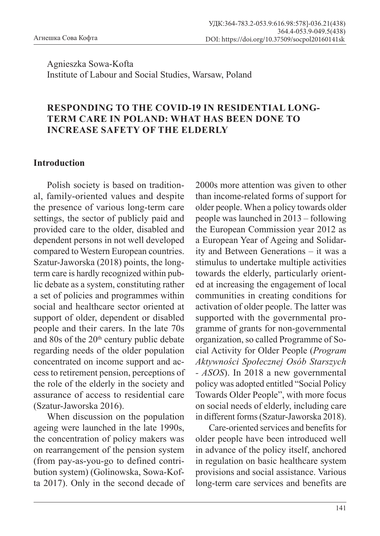Agnieszka Sowa-Kofta Institute of Labour and Social Studies, Warsaw, Poland

## **RESPONDING TO THE COVID-19 IN RESIDENTIAL LONG-TERM CARE IN POLAND: WHAT HAS BEEN DONE TO INCREASE SAFETY OF THE ELDERLY**

#### **Introduction**

Polish society is based on traditional, family-oriented values and despite the presence of various long-term care settings, the sector of publicly paid and provided care to the older, disabled and dependent persons in not well developed compared to Western European countries. Szatur-Jaworska (2018) points, the longterm care is hardly recognized within public debate as a system, constituting rather a set of policies and programmes within social and healthcare sector oriented at support of older, dependent or disabled people and their carers. In the late 70s and 80s of the  $20<sup>th</sup>$  century public debate regarding needs of the older population concentrated on income support and access to retirement pension, perceptions of the role of the elderly in the society and assurance of access to residential care (Szatur-Jaworska 2016).

When discussion on the population ageing were launched in the late 1990s, the concentration of policy makers was on rearrangement of the pension system (from pay-as-you-go to defined contribution system) (Golinowska, Sowa-Kofta 2017). Only in the second decade of

2000s more attention was given to other than income-related forms of support for older people. When a policy towards older people was launched in 2013 – following the European Commission year 2012 as a European Year of Ageing and Solidarity and Between Generations – it was a stimulus to undertake multiple activities towards the elderly, particularly oriented at increasing the engagement of local communities in creating conditions for activation of older people. The latter was supported with the governmental programme of grants for non-governmental organization, so called Programme of Social Activity for Older People (*Program Aktywności Społecznej Osób Starszych - ASOS*). In 2018 a new governmental policy was adopted entitled "Social Policy Towards Older People", with more focus on social needs of elderly, including care in different forms (Szatur-Jaworska 2018).

Care-oriented services and benefits for older people have been introduced well in advance of the policy itself, anchored in regulation on basic healthcare system provisions and social assistance. Various long-term care services and benefits are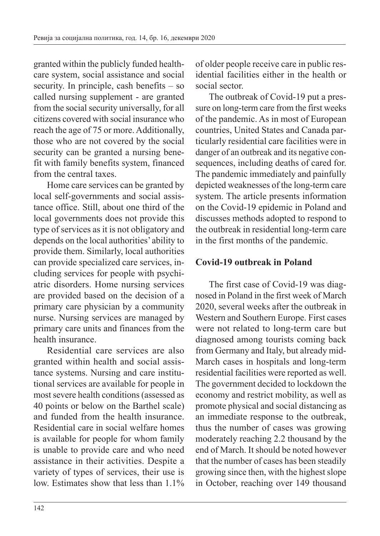granted within the publicly funded healthcare system, social assistance and social security. In principle, cash benefits – so called nursing supplement - are granted from the social security universally, for all citizens covered with social insurance who reach the age of 75 or more. Additionally, those who are not covered by the social security can be granted a nursing benefit with family benefits system, financed from the central taxes.

Home care services can be granted by local self-governments and social assistance office. Still, about one third of the local governments does not provide this type of services as it is not obligatory and depends on the local authorities' ability to provide them. Similarly, local authorities can provide specialized care services, including services for people with psychiatric disorders. Home nursing services are provided based on the decision of a primary care physician by a community nurse. Nursing services are managed by primary care units and finances from the health insurance.

Residential care services are also granted within health and social assistance systems. Nursing and care institutional services are available for people in most severe health conditions (assessed as 40 points or below on the Barthel scale) and funded from the health insurance. Residential care in social welfare homes is available for people for whom family is unable to provide care and who need assistance in their activities. Despite a variety of types of services, their use is low. Estimates show that less than 1.1%

of older people receive care in public residential facilities either in the health or social sector.

The outbreak of Covid-19 put a pressure on long-term care from the first weeks of the pandemic. As in most of European countries, United States and Canada particularly residential care facilities were in danger of an outbreak and its negative consequences, including deaths of cared for. The pandemic immediately and painfully depicted weaknesses of the long-term care system. The article presents information on the Covid-19 epidemic in Poland and discusses methods adopted to respond to the outbreak in residential long-term care in the first months of the pandemic.

# **Covid-19 outbreak in Poland**

The first case of Covid-19 was diagnosed in Poland in the first week of March 2020, several weeks after the outbreak in Western and Southern Europe. First cases were not related to long-term care but diagnosed among tourists coming back from Germany and Italy, but already mid-March cases in hospitals and long-term residential facilities were reported as well. The government decided to lockdown the economy and restrict mobility, as well as promote physical and social distancing as an immediate response to the outbreak, thus the number of cases was growing moderately reaching 2.2 thousand by the end of March. It should be noted however that the number of cases has been steadily growing since then, with the highest slope in October, reaching over 149 thousand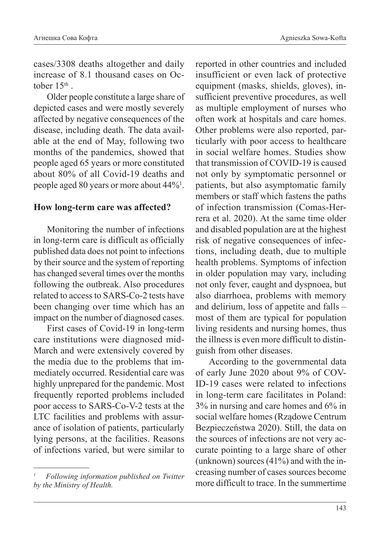cases/3308 deaths altogether and daily increase of 8.1 thousand cases on October 15<sup>th</sup>.

Older people constitute a large share of depicted cases and were mostly severely affected by negative consequences of the disease, including death. The data available at the end of May, following two months of the pandemics, showed that people aged 65 years or more constituted about 80% of all Covid-19 deaths and people aged 80 years or more about 44%1 .

### **How long-term care was affected?**

Monitoring the number of infections in long-term care is difficult as officially published data does not point to infections by their source and the system of reporting has changed several times over the months following the outbreak. Also procedures related to access to SARS-Co-2 tests have been changing over time which has an impact on the number of diagnosed cases.

First cases of Covid-19 in long-term care institutions were diagnosed mid-March and were extensively covered by the media due to the problems that immediately occurred. Residential care was highly unprepared for the pandemic. Most frequently reported problems included poor access to SARS-Co-V-2 tests at the LTC facilities and problems with assurance of isolation of patients, particularly lying persons, at the facilities. Reasons of infections varied, but were similar to

reported in other countries and included insufficient or even lack of protective equipment (masks, shields, gloves), insufficient preventive procedures, as well as multiple employment of nurses who often work at hospitals and care homes. Other problems were also reported, particularly with poor access to healthcare in social welfare homes. Studies show that transmission of COVID-19 is caused not only by symptomatic personnel or patients, but also asymptomatic family members or staff which fastens the paths of infection transmission (Comas-Herrera et al. 2020). At the same time older and disabled population are at the highest risk of negative consequences of infections, including death, due to multiple health problems. Symptoms of infection in older population may vary, including not only fever, caught and dyspnoea, but also diarrhoea, problems with memory and delirium, loss of appetite and falls – most of them are typical for population living residents and nursing homes, thus the illness is even more difficult to distinguish from other diseases.

According to the governmental data of early June 2020 about 9% of COV-ID-19 cases were related to infections in long-term care facilitates in Poland: 3% in nursing and care homes and 6% in social welfare homes (Rządowe Centrum Bezpieczeństwa 2020). Still, the data on the sources of infections are not very accurate pointing to a large share of other (unknown) sources (41%) and with the increasing number of cases sources become more difficult to trace. In the summertime

*<sup>1</sup> Following information published on Twitter by the Ministry of Health.*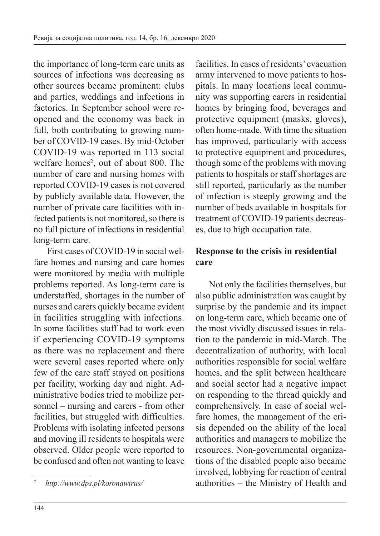the importance of long-term care units as sources of infections was decreasing as other sources became prominent: clubs and parties, weddings and infections in factories. In September school were reopened and the economy was back in full, both contributing to growing number of COVID-19 cases. By mid-October COVID-19 was reported in 113 social welfare homes<sup>2</sup>, out of about 800. The number of care and nursing homes with reported COVID-19 cases is not covered by publicly available data. However, the number of private care facilities with infected patients is not monitored, so there is no full picture of infections in residential long-term care.

First cases of COVID-19 in social welfare homes and nursing and care homes were monitored by media with multiple problems reported. As long-term care is understaffed, shortages in the number of nurses and carers quickly became evident in facilities struggling with infections. In some facilities staff had to work even if experiencing COVID-19 symptoms as there was no replacement and there were several cases reported where only few of the care staff stayed on positions per facility, working day and night. Administrative bodies tried to mobilize personnel – nursing and carers - from other facilities, but struggled with difficulties. Problems with isolating infected persons and moving ill residents to hospitals were observed. Older people were reported to be confused and often not wanting to leave

facilities. In cases of residents' evacuation army intervened to move patients to hospitals. In many locations local community was supporting carers in residential homes by bringing food, beverages and protective equipment (masks, gloves), often home-made. With time the situation has improved, particularly with access to protective equipment and procedures, though some of the problems with moving patients to hospitals or staff shortages are still reported, particularly as the number of infection is steeply growing and the number of beds available in hospitals for treatment of COVID-19 patients decreases, due to high occupation rate.

# **Response to the crisis in residential care**

Not only the facilities themselves, but also public administration was caught by surprise by the pandemic and its impact on long-term care, which became one of the most vividly discussed issues in relation to the pandemic in mid-March. The decentralization of authority, with local authorities responsible for social welfare homes, and the split between healthcare and social sector had a negative impact on responding to the thread quickly and comprehensively. In case of social welfare homes, the management of the crisis depended on the ability of the local authorities and managers to mobilize the resources. Non-governmental organizations of the disabled people also became involved, lobbying for reaction of central authorities – the Ministry of Health and

*<sup>2</sup> http://www.dps.pl/koronawirus/*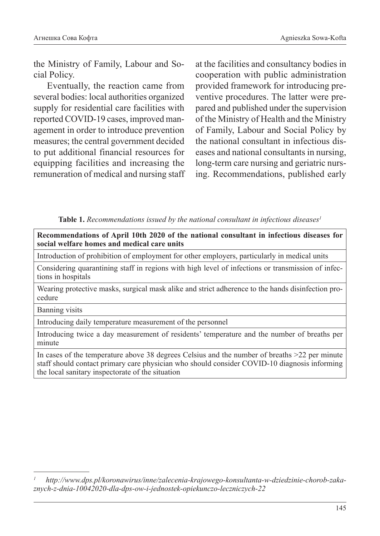the Ministry of Family, Labour and Social Policy.

Eventually, the reaction came from several bodies: local authorities organized supply for residential care facilities with reported COVID-19 cases, improved management in order to introduce prevention measures; the central government decided to put additional financial resources for equipping facilities and increasing the remuneration of medical and nursing staff at the facilities and consultancy bodies in cooperation with public administration provided framework for introducing preventive procedures. The latter were prepared and published under the supervision of the Ministry of Health and the Ministry of Family, Labour and Social Policy by the national consultant in infectious diseases and national consultants in nursing, long-term care nursing and geriatric nursing. Recommendations, published early

Table 1. Recommendations issued by the national consultant in infectious diseases<sup>1</sup>

**Recommendations of April 10th 2020 of the national consultant in infectious diseases for social welfare homes and medical care units**

Introduction of prohibition of employment for other employers, particularly in medical units

Considering quarantining staff in regions with high level of infections or transmission of infections in hospitals

Wearing protective masks, surgical mask alike and strict adherence to the hands disinfection procedure

Banning visits

Introducing daily temperature measurement of the personnel

Introducing twice a day measurement of residents' temperature and the number of breaths per minute

In cases of the temperature above 38 degrees Celsius and the number of breaths >22 per minute staff should contact primary care physician who should consider COVID-10 diagnosis informing the local sanitary inspectorate of the situation

*<sup>1</sup> http://www.dps.pl/koronawirus/inne/zalecenia-krajowego-konsultanta-w-dziedzinie-chorob-zakaznych-z-dnia-10042020-dla-dps-ow-i-jednostek-opiekunczo-leczniczych-22*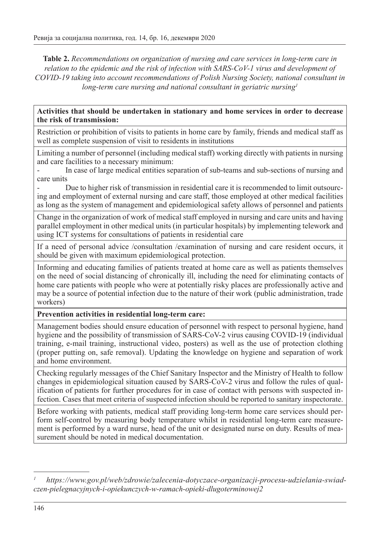**Table 2.** *Recommendations on organization of nursing and care services in long-term care in relation to the epidemic and the risk of infection with SARS-CoV-1 virus and development of COVID-19 taking into account recommendations of Polish Nursing Society, national consultant in long-term care nursing and national consultant in geriatric nursing1*

#### **Activities that should be undertaken in stationary and home services in order to decrease the risk of transmission:**

Restriction or prohibition of visits to patients in home care by family, friends and medical staff as well as complete suspension of visit to residents in institutions

Limiting a number of personnel (including medical staff) working directly with patients in nursing and care facilities to a necessary minimum:

In case of large medical entities separation of sub-teams and sub-sections of nursing and care units

- Due to higher risk of transmission in residential care it is recommended to limit outsourcing and employment of external nursing and care staff, those employed at other medical facilities as long as the system of management and epidemiological safety allows of personnel and patients

Change in the organization of work of medical staff employed in nursing and care units and having parallel employment in other medical units (in particular hospitals) by implementing telework and using ICT systems for consultations of patients in residential care

If a need of personal advice /consultation /examination of nursing and care resident occurs, it should be given with maximum epidemiological protection.

Informing and educating families of patients treated at home care as well as patients themselves on the need of social distancing of chronically ill, including the need for eliminating contacts of home care patients with people who were at potentially risky places are professionally active and may be a source of potential infection due to the nature of their work (public administration, trade workers)

#### **Prevention activities in residential long-term care:**

Management bodies should ensure education of personnel with respect to personal hygiene, hand hygiene and the possibility of transmission of SARS-CoV-2 virus causing COVID-19 (individual training, e-mail training, instructional video, posters) as well as the use of protection clothing (proper putting on, safe removal). Updating the knowledge on hygiene and separation of work and home environment.

Checking regularly messages of the Chief Sanitary Inspector and the Ministry of Health to follow changes in epidemiological situation caused by SARS-CoV-2 virus and follow the rules of qualification of patients for further procedures for in case of contact with persons with suspected infection. Cases that meet criteria of suspected infection should be reported to sanitary inspectorate.

Before working with patients, medical staff providing long-term home care services should perform self-control by measuring body temperature whilst in residential long-term care measurement is performed by a ward nurse, head of the unit or designated nurse on duty. Results of measurement should be noted in medical documentation.

*<sup>1</sup> https://www.gov.pl/web/zdrowie/zalecenia-dotyczace-organizacji-procesu-udzielania-swiadczen-pielegnacyjnych-i-opiekunczych-w-ramach-opieki-dlugoterminowej2*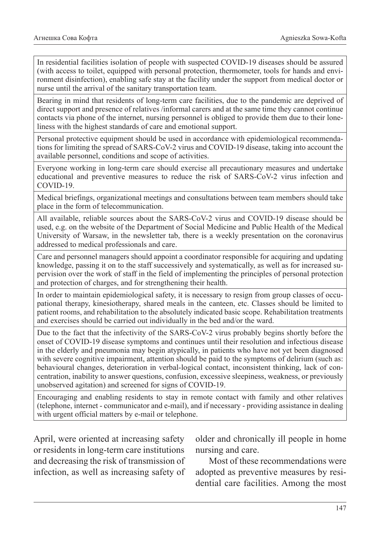In residential facilities isolation of people with suspected COVID-19 diseases should be assured (with access to toilet, equipped with personal protection, thermometer, tools for hands and environment disinfection), enabling safe stay at the facility under the support from medical doctor or nurse until the arrival of the sanitary transportation team.

Bearing in mind that residents of long-term care facilities, due to the pandemic are deprived of direct support and presence of relatives /informal carers and at the same time they cannot continue contacts via phone of the internet, nursing personnel is obliged to provide them due to their loneliness with the highest standards of care and emotional support.

Personal protective equipment should be used in accordance with epidemiological recommendations for limiting the spread of SARS-CoV-2 virus and COVID-19 disease, taking into account the available personnel, conditions and scope of activities.

Everyone working in long-term care should exercise all precautionary measures and undertake educational and preventive measures to reduce the risk of SARS-CoV-2 virus infection and COVID-19.

Medical briefings, organizational meetings and consultations between team members should take place in the form of telecommunication.

All available, reliable sources about the SARS-CoV-2 virus and COVID-19 disease should be used, e.g. on the website of the Department of Social Medicine and Public Health of the Medical University of Warsaw, in the newsletter tab, there is a weekly presentation on the coronavirus addressed to medical professionals and care.

Care and personnel managers should appoint a coordinator responsible for acquiring and updating knowledge, passing it on to the staff successively and systematically, as well as for increased supervision over the work of staff in the field of implementing the principles of personal protection and protection of charges, and for strengthening their health.

In order to maintain epidemiological safety, it is necessary to resign from group classes of occupational therapy, kinesiotherapy, shared meals in the canteen, etc. Classes should be limited to patient rooms, and rehabilitation to the absolutely indicated basic scope. Rehabilitation treatments and exercises should be carried out individually in the bed and/or the ward.

Due to the fact that the infectivity of the SARS-CoV-2 virus probably begins shortly before the onset of COVID-19 disease symptoms and continues until their resolution and infectious disease in the elderly and pneumonia may begin atypically, in patients who have not yet been diagnosed with severe cognitive impairment, attention should be paid to the symptoms of delirium (such as: behavioural changes, deterioration in verbal-logical contact, inconsistent thinking, lack of concentration, inability to answer questions, confusion, excessive sleepiness, weakness, or previously unobserved agitation) and screened for signs of COVID-19.

Encouraging and enabling residents to stay in remote contact with family and other relatives (telephone, internet - communicator and e-mail), and if necessary - providing assistance in dealing with urgent official matters by e-mail or telephone.

April, were oriented at increasing safety or residents in long-term care institutions and decreasing the risk of transmission of infection, as well as increasing safety of older and chronically ill people in home nursing and care.

Most of these recommendations were adopted as preventive measures by residential care facilities. Among the most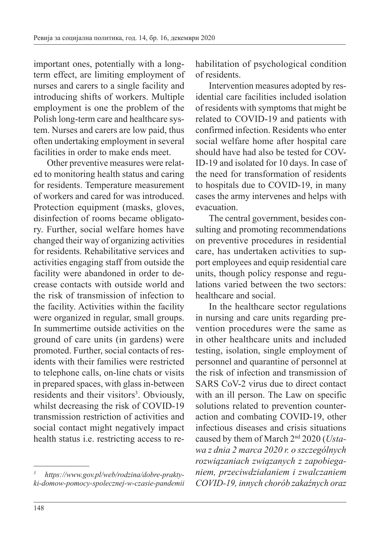important ones, potentially with a longterm effect, are limiting employment of nurses and carers to a single facility and introducing shifts of workers. Multiple employment is one the problem of the Polish long-term care and healthcare system. Nurses and carers are low paid, thus often undertaking employment in several facilities in order to make ends meet.

Other preventive measures were related to monitoring health status and caring for residents. Temperature measurement of workers and cared for was introduced. Protection equipment (masks, gloves, disinfection of rooms became obligatory. Further, social welfare homes have changed their way of organizing activities for residents. Rehabilitative services and activities engaging staff from outside the facility were abandoned in order to decrease contacts with outside world and the risk of transmission of infection to the facility. Activities within the facility were organized in regular, small groups. In summertime outside activities on the ground of care units (in gardens) were promoted. Further, social contacts of residents with their families were restricted to telephone calls, on-line chats or visits in prepared spaces, with glass in-between residents and their visitors<sup>3</sup>. Obviously, whilst decreasing the risk of COVID-19 transmission restriction of activities and social contact might negatively impact health status i.e. restricting access to rehabilitation of psychological condition of residents.

Intervention measures adopted by residential care facilities included isolation of residents with symptoms that might be related to COVID-19 and patients with confirmed infection. Residents who enter social welfare home after hospital care should have had also be tested for COV-ID-19 and isolated for 10 days. In case of the need for transformation of residents to hospitals due to COVID-19, in many cases the army intervenes and helps with evacuation.

The central government, besides consulting and promoting recommendations on preventive procedures in residential care, has undertaken activities to support employees and equip residential care units, though policy response and regulations varied between the two sectors: healthcare and social.

In the healthcare sector regulations in nursing and care units regarding prevention procedures were the same as in other healthcare units and included testing, isolation, single employment of personnel and quarantine of personnel at the risk of infection and transmission of SARS CoV-2 virus due to direct contact with an ill person. The Law on specific solutions related to prevention counteraction and combating COVID-19, other infectious diseases and crisis situations caused by them of March 2nd 2020 (*Ustawa z dnia 2 marca 2020 r. o szczególnych rozwiązaniach związanych z zapobieganiem, przeciwdziałaniem i zwalczaniem COVID-19, innych chorób zakaźnych oraz* 

*<sup>3</sup> https://www.gov.pl/web/rodzina/dobre-praktyki-domow-pomocy-spolecznej-w-czasie-pandemii*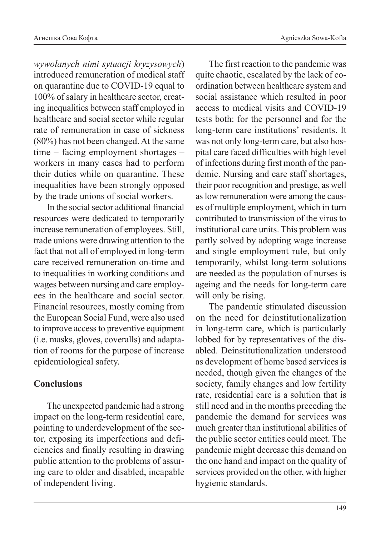*wywołanych nimi sytuacji kryzysowych*) introduced remuneration of medical staff on quarantine due to COVID-19 equal to 100% of salary in healthcare sector, creating inequalities between staff employed in healthcare and social sector while regular rate of remuneration in case of sickness (80%) has not been changed. At the same time – facing employment shortages – workers in many cases had to perform their duties while on quarantine. These inequalities have been strongly opposed by the trade unions of social workers.

In the social sector additional financial resources were dedicated to temporarily increase remuneration of employees. Still, trade unions were drawing attention to the fact that not all of employed in long-term care received remuneration on-time and to inequalities in working conditions and wages between nursing and care employees in the healthcare and social sector. Financial resources, mostly coming from the European Social Fund, were also used to improve access to preventive equipment (i.e. masks, gloves, coveralls) and adaptation of rooms for the purpose of increase epidemiological safety.

## **Conclusions**

The unexpected pandemic had a strong impact on the long-term residential care, pointing to underdevelopment of the sector, exposing its imperfections and deficiencies and finally resulting in drawing public attention to the problems of assuring care to older and disabled, incapable of independent living.

The first reaction to the pandemic was quite chaotic, escalated by the lack of coordination between healthcare system and social assistance which resulted in poor access to medical visits and COVID-19 tests both: for the personnel and for the long-term care institutions' residents. It was not only long-term care, but also hospital care faced difficulties with high level of infections during first month of the pandemic. Nursing and care staff shortages, their poor recognition and prestige, as well as low remuneration were among the causes of multiple employment, which in turn contributed to transmission of the virus to institutional care units. This problem was partly solved by adopting wage increase and single employment rule, but only temporarily, whilst long-term solutions are needed as the population of nurses is ageing and the needs for long-term care will only be rising.

The pandemic stimulated discussion on the need for deinstitutionalization in long-term care, which is particularly lobbed for by representatives of the disabled. Deinstitutionalization understood as development of home based services is needed, though given the changes of the society, family changes and low fertility rate, residential care is a solution that is still need and in the months preceding the pandemic the demand for services was much greater than institutional abilities of the public sector entities could meet. The pandemic might decrease this demand on the one hand and impact on the quality of services provided on the other, with higher hygienic standards.